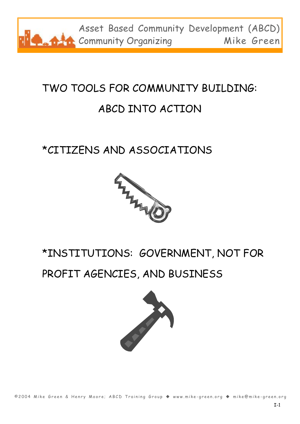

### TWO TOOLS FOR COMMUNITY BUILDING: ABCD INTO ACTION

### \*CITIZENS AND ASSOCIATIONS



### \*INSTITUTIONS: GOVERNMENT, NOT FOR

#### PROFIT AGENCIES, AND BUSINESS

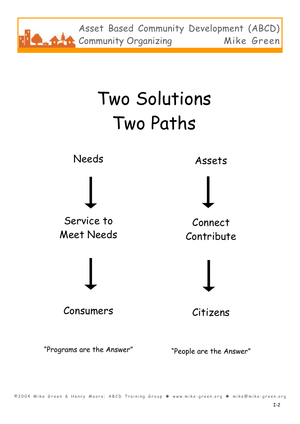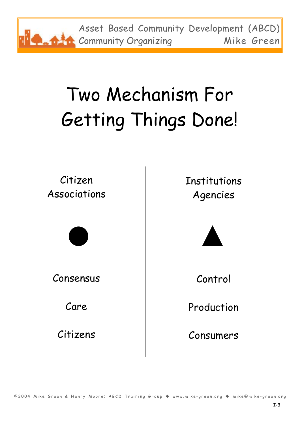Asset Based Community Development (ABCD) **Community Organizing Mike Green** 

# Two Mechanism For Getting Things Done!

Citizen Associations



Consensus

Care

Citizens

Institutions Agencies



Control

Production

Consumers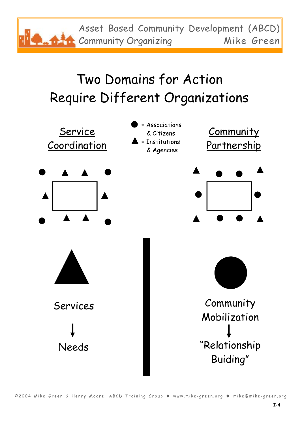Asset Based Community Development (ABCD) **Community Organizing Mike Green** 

## Two Domains for Action Require Different Organizations

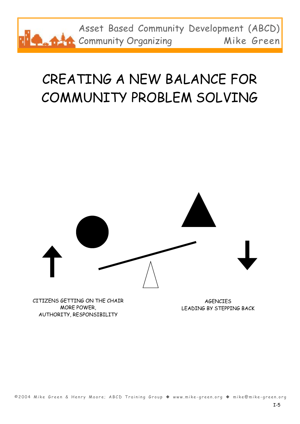

## CREATING A NEW BALANCE FOR COMMUNITY PROBLEM SOLVING



CITIZENS GETTING ON THE CHAIR MORE POWER, AUTHORITY, RESPONSIBILITY

**AGENCTES** LEADING BY STEPPING BACK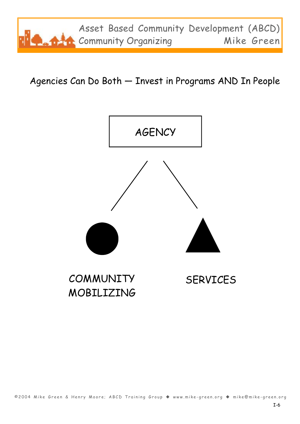

Agencies Can Do Both — Invest in Programs AND In People